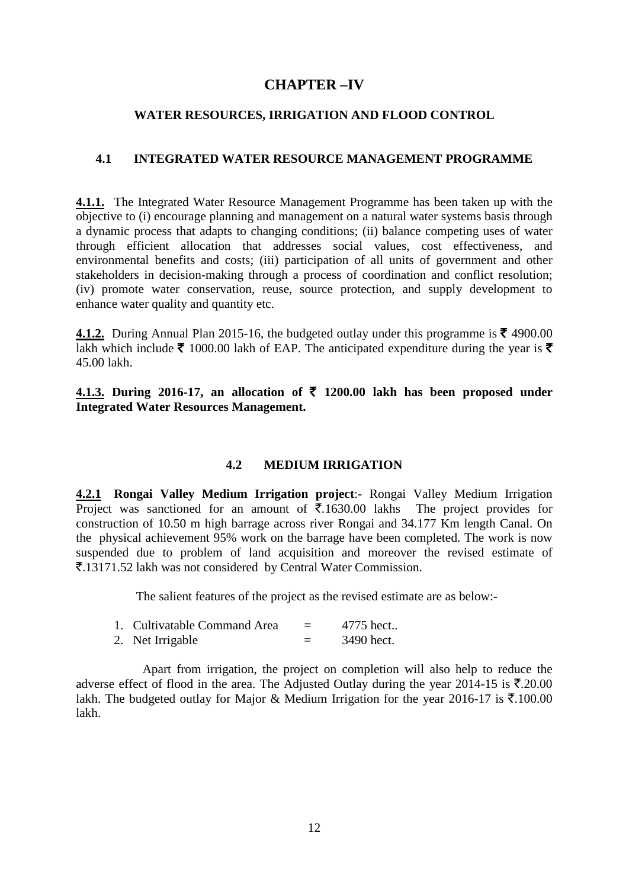## **CHAPTER –IV**

### **WATER RESOURCES, IRRIGATION AND FLOOD CONTROL**

## **4.1 INTEGRATED WATER RESOURCE MANAGEMENT PROGRAMME**

**4.1.1.** The Integrated Water Resource Management Programme has been taken up with the objective to (i) encourage planning and management on a natural water systems basis through a dynamic process that adapts to changing conditions; (ii) balance competing uses of water through efficient allocation that addresses social values, cost effectiveness, and environmental benefits and costs; (iii) participation of all units of government and other stakeholders in decision-making through a process of coordination and conflict resolution; (iv) promote water conservation, reuse, source protection, and supply development to enhance water quality and quantity etc.

**4.1.2.** During Annual Plan 2015-16, the budgeted outlay under this programme is  $\bar{\mathbf{\mathcal{F}}}$  4900.00 lakh which include  $\bar{\xi}$  1000.00 lakh of EAP. The anticipated expenditure during the year is  $\bar{\xi}$ 45.00 lakh.

**4.1.3. During 2016-17, an allocation of**  $\bar{\tau}$  **1200.00 lakh has been proposed under Integrated Water Resources Management.**

## **4.2 MEDIUM IRRIGATION**

**4.2.1 Rongai Valley Medium Irrigation project**:- Rongai Valley Medium Irrigation Project was sanctioned for an amount of  $\overline{5}.1630.00$  lakhs The project provides for construction of 10.50 m high barrage across river Rongai and 34.177 Km length Canal. On the physical achievement 95% work on the barrage have been completed. The work is now suspended due to problem of land acquisition and moreover the revised estimate of `.13171.52 lakh was not considered by Central Water Commission.

The salient features of the project as the revised estimate are as below:-

| 1. Cultivatable Command Area | 4775 hect  |
|------------------------------|------------|
| 2. Net Irrigable             | 3490 hect. |

 Apart from irrigation, the project on completion will also help to reduce the adverse effect of flood in the area. The Adjusted Outlay during the year 2014-15 is  $\bar{\mathbf{z}}$ .20.00 lakh. The budgeted outlay for Major & Medium Irrigation for the year 2016-17 is  $\bar{\tau}$ .100.00 lakh.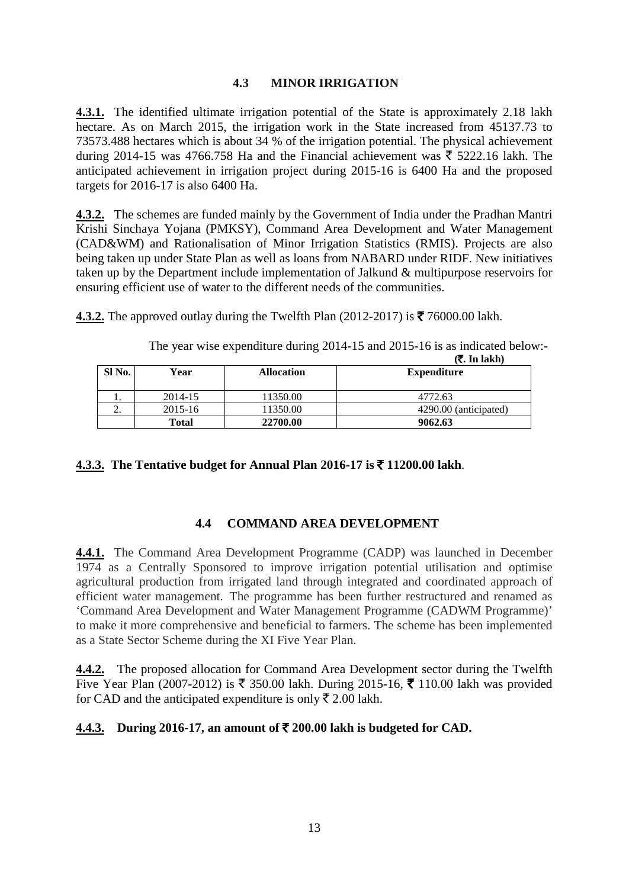## **4.3 MINOR IRRIGATION**

**4.3.1.** The identified ultimate irrigation potential of the State is approximately 2.18 lakh hectare. As on March 2015, the irrigation work in the State increased from 45137.73 to 73573.488 hectares which is about 34 % of the irrigation potential. The physical achievement during 2014-15 was 4766.758 Ha and the Financial achievement was  $\bar{\tau}$  5222.16 lakh. The anticipated achievement in irrigation project during 2015-16 is 6400 Ha and the proposed targets for 2016-17 is also 6400 Ha.

**4.3.2.** The schemes are funded mainly by the Government of India under the Pradhan Mantri Krishi Sinchaya Yojana (PMKSY), Command Area Development and Water Management (CAD&WM) and Rationalisation of Minor Irrigation Statistics (RMIS). Projects are also being taken up under State Plan as well as loans from NABARD under RIDF. New initiatives taken up by the Department include implementation of Jalkund & multipurpose reservoirs for ensuring efficient use of water to the different needs of the communities.

**4.3.2.** The approved outlay during the Twelfth Plan (2012-2017) is  $\bar{\mathbf{\mathcal{F}}}$  76000.00 lakh.

|          |         |                   | ( <b>₹. In lakh</b> ) |
|----------|---------|-------------------|-----------------------|
| SI No.   | Year    | <b>Allocation</b> | <b>Expenditure</b>    |
|          |         |                   |                       |
| . .      | 2014-15 | 11350.00          | 4772.63               |
| <u>.</u> | 2015-16 | 11350.00          | 4290.00 (anticipated) |
|          | Total   | 22700.00          | 9062.63               |

The year wise expenditure during 2014-15 and 2015-16 is as indicated below:-

**4.3.3. The Tentative budget for Annual Plan 2016-17 is** ` **11200.00 lakh**.

# **4.4 COMMAND AREA DEVELOPMENT**

**4.4.1.** The Command Area Development Programme (CADP) was launched in December 1974 as a Centrally Sponsored to improve irrigation potential utilisation and optimise agricultural production from irrigated land through integrated and coordinated approach of efficient water management. The programme has been further restructured and renamed as 'Command Area Development and Water Management Programme (CADWM Programme)' to make it more comprehensive and beneficial to farmers. The scheme has been implemented as a State Sector Scheme during the XI Five Year Plan.

**4.4.2.** The proposed allocation for Command Area Development sector during the Twelfth Five Year Plan (2007-2012) is  $\bar{\xi}$  350.00 lakh. During 2015-16,  $\bar{\xi}$  110.00 lakh was provided for CAD and the anticipated expenditure is only  $\bar{\xi}$  2.00 lakh.

# **<u>4.4.3.</u> During 2016-17, an amount of**  $\overline{\xi}$  **200.00 lakh is budgeted for CAD.**